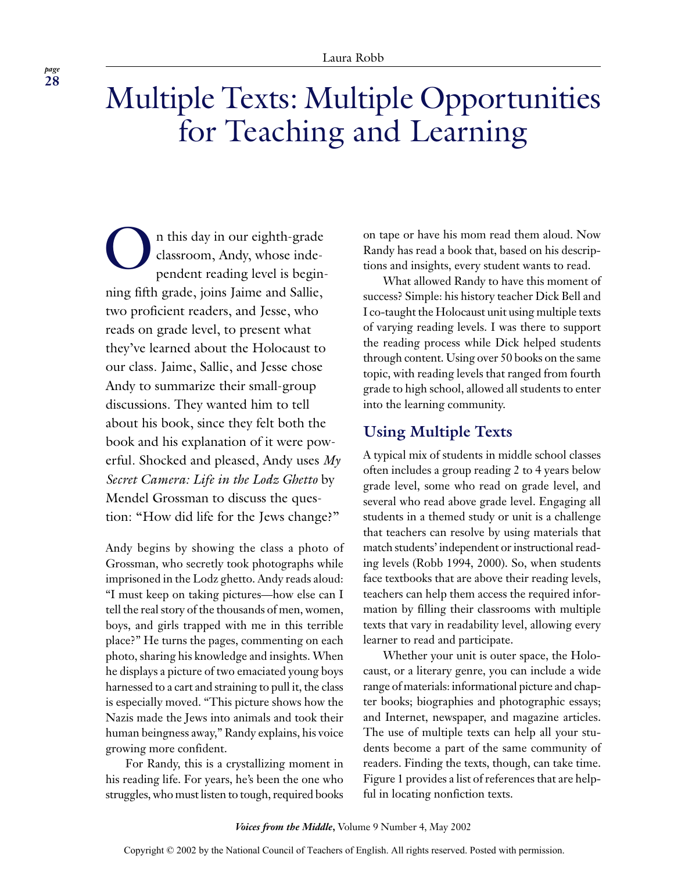# Multiple Texts: Multiple Opportunities for Teaching and Learning

On this day in our eighth-grade<br>classroom, Andy, whose inde-<br>pendent reading level is begin classroom, Andy, whose independent reading level is beginning fifth grade, joins Jaime and Sallie, two proficient readers, and Jesse, who reads on grade level, to present what they've learned about the Holocaust to our class. Jaime, Sallie, and Jesse chose Andy to summarize their small-group discussions. They wanted him to tell about his book, since they felt both the book and his explanation of it were powerful. Shocked and pleased, Andy uses *My Secret Camera: Life in the Lodz Ghetto* by Mendel Grossman to discuss the question: "How did life for the Jews change?"

Andy begins by showing the class a photo of Grossman, who secretly took photographs while imprisoned in the Lodz ghetto. Andy reads aloud: "I must keep on taking pictures—how else can I tell the real story of the thousands of men, women, boys, and girls trapped with me in this terrible place?" He turns the pages, commenting on each photo, sharing his knowledge and insights. When he displays a picture of two emaciated young boys harnessed to a cart and straining to pull it, the class is especially moved. "This picture shows how the Nazis made the Jews into animals and took their human beingness away," Randy explains, his voice growing more confident.

For Randy, this is a crystallizing moment in his reading life. For years, he's been the one who struggles, who must listen to tough, required books

on tape or have his mom read them aloud. Now Randy has read a book that, based on his descriptions and insights, every student wants to read.

What allowed Randy to have this moment of success? Simple: his history teacher Dick Bell and I co-taught the Holocaust unit using multiple texts of varying reading levels. I was there to support the reading process while Dick helped students through content. Using over 50 books on the same topic, with reading levels that ranged from fourth grade to high school, allowed all students to enter into the learning community.

# **Using Multiple Texts**

A typical mix of students in middle school classes often includes a group reading 2 to 4 years below grade level, some who read on grade level, and several who read above grade level. Engaging all students in a themed study or unit is a challenge that teachers can resolve by using materials that match students' independent or instructional reading levels (Robb 1994, 2000). So, when students face textbooks that are above their reading levels, teachers can help them access the required information by filling their classrooms with multiple texts that vary in readability level, allowing every learner to read and participate.

Whether your unit is outer space, the Holocaust, or a literary genre, you can include a wide range of materials: informational picture and chapter books; biographies and photographic essays; and Internet, newspaper, and magazine articles. The use of multiple texts can help all your students become a part of the same community of readers. Finding the texts, though, can take time. Figure 1 provides a list of references that are helpful in locating nonfiction texts.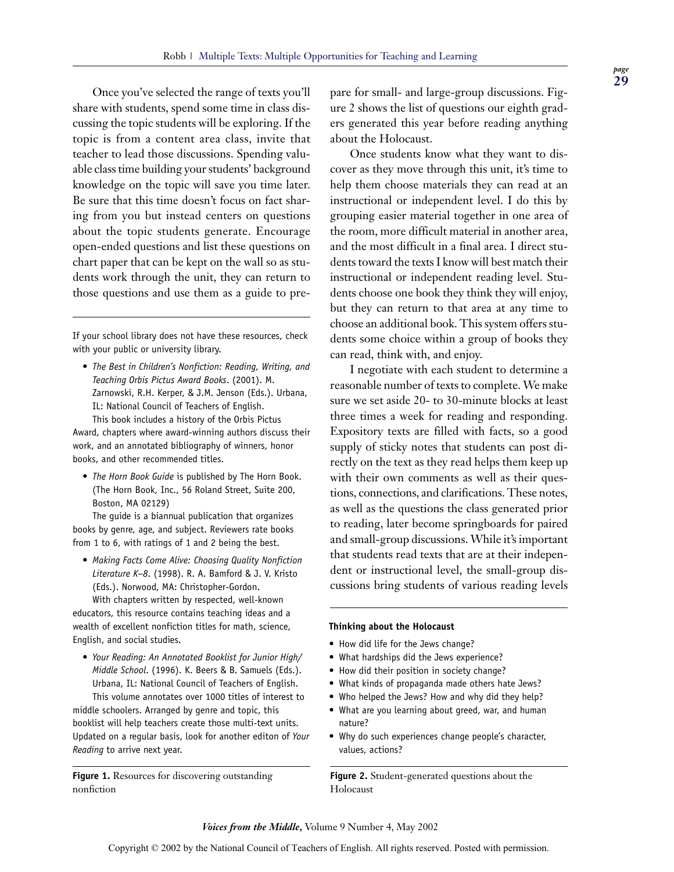Once you've selected the range of texts you'll share with students, spend some time in class discussing the topic students will be exploring. If the topic is from a content area class, invite that teacher to lead those discussions. Spending valuable class time building your students' background knowledge on the topic will save you time later. Be sure that this time doesn't focus on fact sharing from you but instead centers on questions about the topic students generate. Encourage open-ended questions and list these questions on chart paper that can be kept on the wall so as students work through the unit, they can return to those questions and use them as a guide to pre-

If your school library does not have these resources, check with your public or university library.

• *The Best in Children's Nonfiction: Reading, Writing, and Teaching Orbis Pictus Award Books*. (2001). M. Zarnowski, R.H. Kerper, & J.M. Jenson (Eds.). Urbana, IL: National Council of Teachers of English. This book includes a history of the Orbis Pictus

Award, chapters where award-winning authors discuss their work, and an annotated bibliography of winners, honor books, and other recommended titles.

• *The Horn Book Guide* is published by The Horn Book. (The Horn Book, Inc., 56 Roland Street, Suite 200, Boston, MA 02129)

The guide is a biannual publication that organizes books by genre, age, and subject. Reviewers rate books from 1 to 6, with ratings of 1 and 2 being the best.

• *Making Facts Come Alive: Choosing Quality Nonfiction Literature K–8*. (1998). R. A. Bamford & J. V. Kristo (Eds.). Norwood, MA: Christopher-Gordon.

With chapters written by respected, well-known educators, this resource contains teaching ideas and a wealth of excellent nonfiction titles for math, science, English, and social studies.

• *Your Reading: An Annotated Booklist for Junior High/ Middle School*. (1996). K. Beers & B. Samuels (Eds.). Urbana, IL: National Council of Teachers of English.

This volume annotates over 1000 titles of interest to middle schoolers. Arranged by genre and topic, this booklist will help teachers create those multi-text units. Updated on a regular basis, look for another editon of *Your Reading* to arrive next year.

**Figure 1.** Resources for discovering outstanding nonfiction

pare for small- and large-group discussions. Figure 2 shows the list of questions our eighth graders generated this year before reading anything about the Holocaust.

Once students know what they want to discover as they move through this unit, it's time to help them choose materials they can read at an instructional or independent level. I do this by grouping easier material together in one area of the room, more difficult material in another area, and the most difficult in a final area. I direct students toward the texts I know will best match their instructional or independent reading level. Students choose one book they think they will enjoy, but they can return to that area at any time to choose an additional book. This system offers students some choice within a group of books they can read, think with, and enjoy.

I negotiate with each student to determine a reasonable number of texts to complete. We make sure we set aside 20- to 30-minute blocks at least three times a week for reading and responding. Expository texts are filled with facts, so a good supply of sticky notes that students can post directly on the text as they read helps them keep up with their own comments as well as their questions, connections, and clarifications. These notes, as well as the questions the class generated prior to reading, later become springboards for paired and small-group discussions. While it's important that students read texts that are at their independent or instructional level, the small-group discussions bring students of various reading levels

#### **Thinking about the Holocaust**

- How did life for the Jews change?
- What hardships did the Jews experience?
- How did their position in society change?
- What kinds of propaganda made others hate Jews?
- Who helped the Jews? How and why did they help?
- What are you learning about greed, war, and human nature?
- Why do such experiences change people's character, values, actions?

**Figure 2.** Student-generated questions about the Holocaust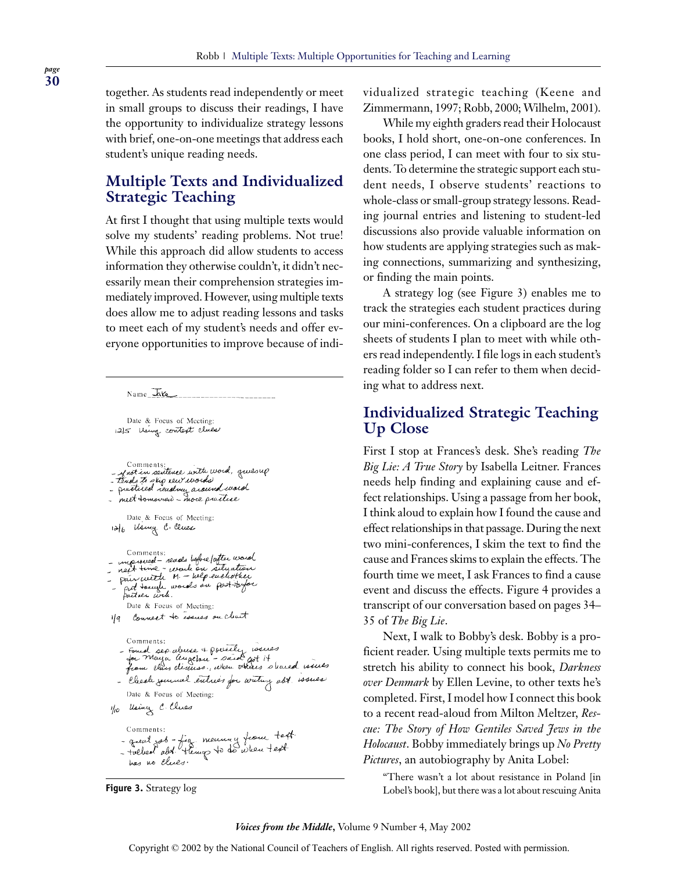together. As students read independently or meet in small groups to discuss their readings, I have the opportunity to individualize strategy lessons with brief, one-on-one meetings that address each student's unique reading needs.

# **Multiple Texts and Individualized Strategic Teaching**

At first I thought that using multiple texts would solve my students' reading problems. Not true! While this approach did allow students to access information they otherwise couldn't, it didn't necessarily mean their comprehension strategies immediately improved. However, using multiple texts does allow me to adjust reading lessons and tasks to meet each of my student's needs and offer everyone opportunities to improve because of indi-

 $Name\_Ke$ 

Date & Focus of Meeting: 12/5 Using context clues

Comments:<br>- Anot in sentence with word, quesup<br>- tends to slig rew words<br>- pretired reading around word<br>- meet tomoved - more prettice Date & Focus of Meeting: 12/6 Using C. Clues Comments:<br>- mp weed - reads before forther used<br>- next time - work on situation<br>- pair with M - beforewels the<br>- pair ex Focus of Meeting:<br>Date & Focus of Meeting: Date & Focus of Meeting: 1/9 Connect to issues on cleart Comments: Comments:<br>- Found are abure & powerly rouses<br>- from class diseases, when others shared wines<br>- from class diseases, when others shared wines - Check jurial entres for watery ast issues Date & Focus of Meeting: 1/10 Using C. Clues Comments: - great got - fig. mourney from text has no clues.

vidualized strategic teaching (Keene and Zimmermann, 1997; Robb, 2000; Wilhelm, 2001).

While my eighth graders read their Holocaust books, I hold short, one-on-one conferences. In one class period, I can meet with four to six students. To determine the strategic support each student needs, I observe students' reactions to whole-class or small-group strategy lessons. Reading journal entries and listening to student-led discussions also provide valuable information on how students are applying strategies such as making connections, summarizing and synthesizing, or finding the main points.

A strategy log (see Figure 3) enables me to track the strategies each student practices during our mini-conferences. On a clipboard are the log sheets of students I plan to meet with while others read independently. I file logs in each student's reading folder so I can refer to them when deciding what to address next.

### **Individualized Strategic Teaching Up Close**

First I stop at Frances's desk. She's reading *The Big Lie: A True Story* by Isabella Leitner. Frances needs help finding and explaining cause and effect relationships. Using a passage from her book, I think aloud to explain how I found the cause and effect relationships in that passage. During the next two mini-conferences, I skim the text to find the cause and Frances skims to explain the effects. The fourth time we meet, I ask Frances to find a cause event and discuss the effects. Figure 4 provides a transcript of our conversation based on pages 34– 35 of *The Big Lie*.

Next, I walk to Bobby's desk. Bobby is a proficient reader. Using multiple texts permits me to stretch his ability to connect his book, *Darkness over Denmark* by Ellen Levine, to other texts he's completed. First, I model how I connect this book to a recent read-aloud from Milton Meltzer, *Rescue: The Story of How Gentiles Saved Jews in the Holocaust*. Bobby immediately brings up *No Pretty Pictures*, an autobiography by Anita Lobel:

"There wasn't a lot about resistance in Poland [in **Figure 3.** Strategy log local control Lobel's book], but there was a lot about rescuing Anita

#### *Voices from the Middle***,** Volume 9 Number 4, May 2002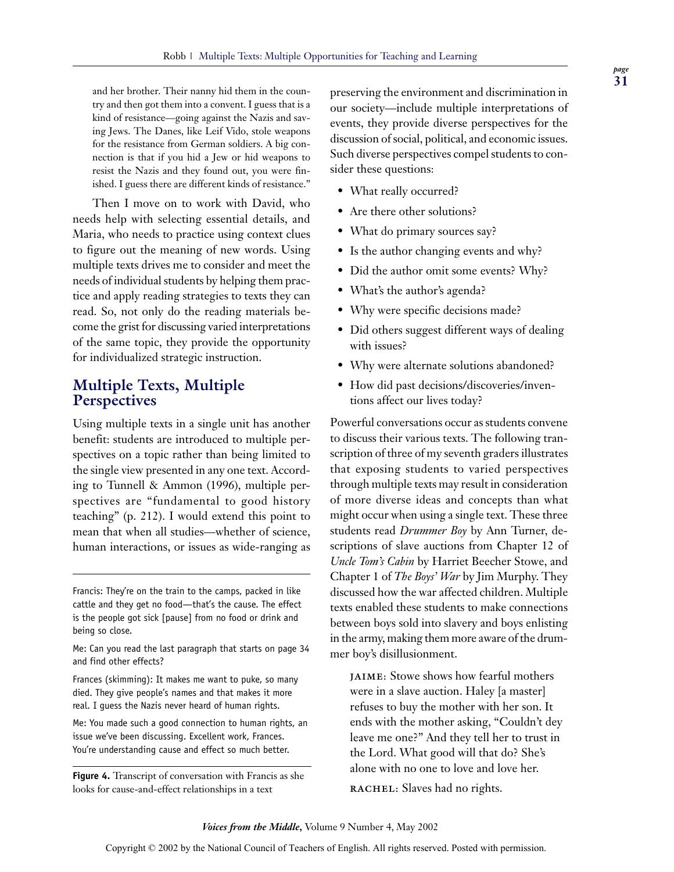and her brother. Their nanny hid them in the country and then got them into a convent. I guess that is a kind of resistance—going against the Nazis and saving Jews. The Danes, like Leif Vido, stole weapons for the resistance from German soldiers. A big connection is that if you hid a Jew or hid weapons to resist the Nazis and they found out, you were finished. I guess there are different kinds of resistance."

Then I move on to work with David, who needs help with selecting essential details, and Maria, who needs to practice using context clues to figure out the meaning of new words. Using multiple texts drives me to consider and meet the needs of individual students by helping them practice and apply reading strategies to texts they can read. So, not only do the reading materials become the grist for discussing varied interpretations of the same topic, they provide the opportunity for individualized strategic instruction.

# **Multiple Texts, Multiple Perspectives**

Using multiple texts in a single unit has another benefit: students are introduced to multiple perspectives on a topic rather than being limited to the single view presented in any one text. According to Tunnell & Ammon (1996), multiple perspectives are "fundamental to good history teaching" (p. 212). I would extend this point to mean that when all studies—whether of science, human interactions, or issues as wide-ranging as

Frances (skimming): It makes me want to puke, so many died. They give people's names and that makes it more real. I guess the Nazis never heard of human rights.

Me: You made such a good connection to human rights, an issue we've been discussing. Excellent work, Frances. You're understanding cause and effect so much better.

**Figure 4.** Transcript of conversation with Francis as she looks for cause-and-effect relationships in a text

preserving the environment and discrimination in our society—include multiple interpretations of events, they provide diverse perspectives for the discussion of social, political, and economic issues. Such diverse perspectives compel students to consider these questions:

- What really occurred?
- Are there other solutions?
- What do primary sources say?
- Is the author changing events and why?
- Did the author omit some events? Why?
- What's the author's agenda?
- Why were specific decisions made?
- Did others suggest different ways of dealing with issues?
- Why were alternate solutions abandoned?
- How did past decisions/discoveries/inventions affect our lives today?

Powerful conversations occur as students convene to discuss their various texts. The following transcription of three of my seventh graders illustrates that exposing students to varied perspectives through multiple texts may result in consideration of more diverse ideas and concepts than what might occur when using a single text. These three students read *Drummer Boy* by Ann Turner, descriptions of slave auctions from Chapter 12 of *Uncle Tom's Cabin* by Harriet Beecher Stowe, and Chapter 1 of *The Boys' War* by Jim Murphy. They discussed how the war affected children. Multiple texts enabled these students to make connections between boys sold into slavery and boys enlisting in the army, making them more aware of the drummer boy's disillusionment.

**JAIME:** Stowe shows how fearful mothers were in a slave auction. Haley [a master] refuses to buy the mother with her son. It ends with the mother asking, "Couldn't dey leave me one?" And they tell her to trust in the Lord. What good will that do? She's alone with no one to love and love her.

**RACHEL:** Slaves had no rights.

Francis: They're on the train to the camps, packed in like cattle and they get no food—that's the cause. The effect is the people got sick [pause] from no food or drink and being so close.

Me: Can you read the last paragraph that starts on page 34 and find other effects?